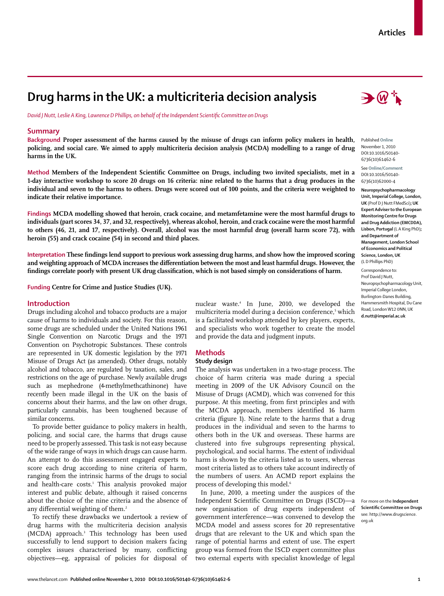# **Drug harms in the UK: a multicriteria decision analysis**

*David J Nutt, Leslie A King, Lawrence D Phillips, on behalf of the Independent Scientific Committee on Drugs* 

## **Summary**

**Background Proper assessment of the harms caused by the misuse of drugs can inform policy makers in health, policing, and social care. We aimed to apply multicriteria decision analysis (MCDA) modelling to a range of drug harms in the UK.** 

**Method Members of the Independent Scientific Committee on Drugs, including two invited specialists, met in a 1-day interactive workshop to score 20 drugs on 16 criteria: nine related to the harms that a drug produces in the individual and seven to the harms to others. Drugs were scored out of 100 points, and the criteria were weighted to indicate their relative importance.**

**Findings MCDA modelling showed that heroin, crack cocaine, and metamfetamine were the most harmful drugs to individuals (part scores 34, 37, and 32, respectively), whereas alcohol, heroin, and crack cocaine were the most harmful to others (46, 21, and 17, respectively). Overall, alcohol was the most harmful drug (overall harm score 72), with heroin (55) and crack cocaine (54) in second and third places.**

Interpretation These findings lend support to previous work assessing drug harms, and show how the improved scoring and weighting approach of MCDA increases the differentiation between the most and least harmful drugs. However, the findings correlate poorly with present UK drug classification, which is not based simply on considerations of harm.

**Funding Centre for Crime and Justice Studies (UK).** 

#### **Introduction**

Drugs including alcohol and tobacco products are a major cause of harms to individuals and society. For this reason, some drugs are scheduled under the United Nations 1961 Single Convention on Narcotic Drugs and the 1971 Convention on Psychotropic Substances. These controls are represented in UK domestic legislation by the 1971 Misuse of Drugs Act (as amended). Other drugs, notably alcohol and tobacco, are regulated by taxation, sales, and restrictions on the age of purchase. Newly available drugs such as mephedrone (4-methylmethcathinone) have recently been made illegal in the UK on the basis of concerns about their harms, and the law on other drugs, particularly cannabis, has been toughened because of similar concerns.

To provide better guidance to policy makers in health, policing, and social care, the harms that drugs cause need to be properly assessed. This task is not easy because of the wide range of ways in which drugs can cause harm. An attempt to do this assessment engaged experts to score each drug according to nine criteria of harm, ranging from the intrinsic harms of the drugs to social and health-care costs.<sup>1</sup> This analysis provoked major interest and public debate, although it raised concerns about the choice of the nine criteria and the absence of any differential weighting of them.<sup>2</sup>

To rectify these drawbacks we undertook a review of drug harms with the multicriteria decision analysis (MCDA) approach.3 This technology has been used successfully to lend support to decision makers facing complex issues characterised by many, conflicting objectives—eg, appraisal of policies for disposal of

nuclear waste.4 In June, 2010, we developed the multicriteria model during a decision conference,<sup>5</sup> which is a facilitated workshop attended by key players, experts, and specialists who work together to create the model and provide the data and judgment inputs.

## **Methods**

#### **Study design**

The analysis was undertaken in a two-stage process. The choice of harm criteria was made during a special meeting in 2009 of the UK Advisory Council on the Misuse of Drugs (ACMD), which was convened for this purpose. At this meeting, from first principles and with the MCDA approach, members identified 16 harm criteria (figure 1). Nine relate to the harms that a drug produces in the individual and seven to the harms to others both in the UK and overseas. These harms are clustered into five subgroups representing physical, psychological, and social harms. The extent of individual harm is shown by the criteria listed as to users, whereas most criteria listed as to others take account indirectly of the numbers of users. An ACMD report explains the process of developing this model.<sup>6</sup>

In June, 2010, a meeting under the auspices of the Independent Scientific Committee on Drugs (ISCD)—a new organisation of drug experts independent of government interference—was convened to develop the MCDA model and assess scores for 20 representative drugs that are relevant to the UK and which span the range of potential harms and extent of use. The expert group was formed from the ISCD expert committee plus two external experts with specialist knowledge of legal



Published **Online** November 1, 2010 DOI:10.1016/S0140- 6736(10)61462-6

See **Online/Comment** DOI:10.1016/S0140- 6736(10)62000-4

**Neuropsychopharmacology Unit, Imperial College, London, UK** (Prof D J Nutt FMedSci)**; UK Expert Adviser to the European Monitoring Centre for Drugs and Drug Addiction (EMCDDA), Lisbon, Portugal** (L A King PhD)**; and Department of Management, London School of Economics and Political Science, London, UK**  (L D Phillips PhD)

Correspondence to: Prof David J Nutt, Neuropsychopharmacology Unit, Imperial College London, Burlington-Danes Building, Hammersmith Hospital, Du Cane Road, London W12 0NN, UK **d.nutt@imperial.ac.uk**

For more on the **Independent Scientific Committee on Drugs** see: http://www.drugscience. org.uk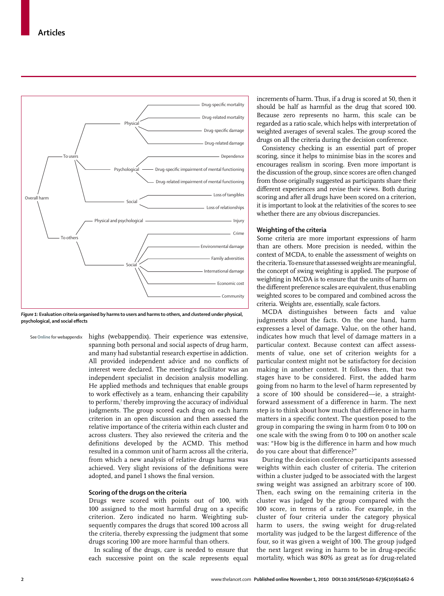

*Figure 1:* **Evaluation criteria organised by harms to users and harms to others, and clustered under physical,**  psychological, and social effects

See Online for webappendix highs (webappendix). Their experience was extensive, spanning both personal and social aspects of drug harm, and many had substantial research expertise in addiction. All provided independent advice and no conflicts of interest were declared. The meeting's facilitator was an independent specialist in decision analysis modelling. He applied methods and techniques that enable groups to work effectively as a team, enhancing their capability to perform,7 thereby improving the accuracy of individual judgments. The group scored each drug on each harm criterion in an open discussion and then assessed the relative importance of the criteria within each cluster and across clusters. They also reviewed the criteria and the definitions developed by the ACMD. This method resulted in a common unit of harm across all the criteria, from which a new analysis of relative drugs harms was achieved. Very slight revisions of the definitions were adopted, and panel 1 shows the final version.

# **Scoring of the drugs on the criteria**

Drugs were scored with points out of 100, with 100 assigned to the most harmful drug on a specific criterion. Zero indicated no harm. Weighting subsequently compares the drugs that scored 100 across all the criteria, thereby expressing the judgment that some drugs scoring 100 are more harmful than others.

In scaling of the drugs, care is needed to ensure that each successive point on the scale represents equal increments of harm. Thus, if a drug is scored at 50, then it should be half as harmful as the drug that scored 100. Because zero represents no harm, this scale can be regarded as a ratio scale, which helps with interpretation of weighted averages of several scales. The group scored the drugs on all the criteria during the decision conference.

Consistency checking is an essential part of proper scoring, since it helps to minimise bias in the scores and encourages realism in scoring. Even more important is the discussion of the group, since scores are often changed from those originally suggested as participants share their different experiences and revise their views. Both during scoring and after all drugs have been scored on a criterion, it is important to look at the relativities of the scores to see whether there are any obvious discrepancies.

# **Weighting of the criteria**

Some criteria are more important expressions of harm than are others. More precision is needed, within the context of MCDA, to enable the assessment of weights on the criteria. To ensure that assessed weights are meaningful, the concept of swing weighting is applied. The purpose of weighting in MCDA is to ensure that the units of harm on the different preference scales are equivalent, thus enabling weighted scores to be compared and combined across the criteria. Weights are, essentially, scale factors.

MCDA distinguishes between facts and value judgments about the facts. On the one hand, harm expresses a level of damage. Value, on the other hand, indicates how much that level of damage matters in a particular context. Because context can affect assessments of value, one set of criterion weights for a particular context might not be satisfactory for decision making in another context. It follows then, that two stages have to be considered. First, the added harm going from no harm to the level of harm represented by a score of 100 should be considered—ie, a straightforward assessment of a difference in harm. The next step is to think about how much that difference in harm matters in a specific context. The question posed to the group in comparing the swing in harm from 0 to 100 on one scale with the swing from 0 to 100 on another scale was: "How big is the difference in harm and how much do you care about that difference?"

During the decision conference participants assessed weights within each cluster of criteria. The criterion within a cluster judged to be associated with the largest swing weight was assigned an arbitrary score of 100. Then, each swing on the remaining criteria in the cluster was judged by the group compared with the 100 score, in terms of a ratio. For example, in the cluster of four criteria under the category physical harm to users, the swing weight for drug-related mortality was judged to be the largest difference of the four, so it was given a weight of 100. The group judged the next largest swing in harm to be in drug-specific mortality, which was 80% as great as for drug-related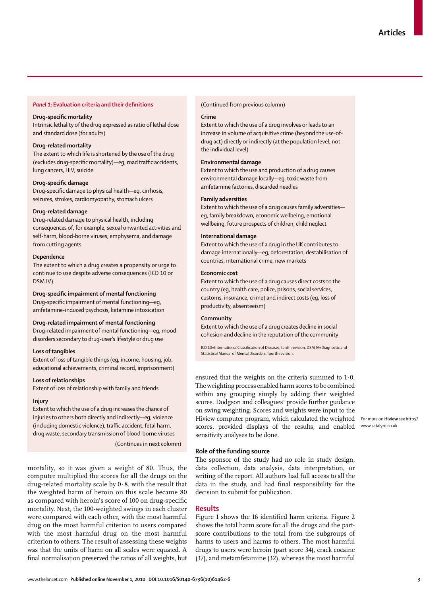# *Panel 1:* **Evaluation criteria and their definitions**

# **Drug-specific mortality**

Intrinsic lethality of the drug expressed as ratio of lethal dose and standard dose (for adults)

# **Drug-related mortality**

The extent to which life is shortened by the use of the drug (excludes drug-specific mortality)—eg, road traffic accidents, lung cancers, HIV, suicide

## **Drug-specific damage**

Drug-specific damage to physical health—eg, cirrhosis, seizures, strokes, cardiomyopathy, stomach ulcers

### **Drug-related damage**

Drug-related damage to physical health, including consequences of, for example, sexual unwanted activities and self-harm, blood-borne viruses, emphysema, and damage from cutting agents

# **Dependence**

The extent to which a drug creates a propensity or urge to continue to use despite adverse consequences (ICD 10 or DSM IV)

#### **Drug-specific impairment of mental functioning**

Drug-specific impairment of mental functioning-eg, amfetamine-induced psychosis, ketamine intoxication

#### **Drug-related impairment of mental functioning**

Drug-related impairment of mental functioning—eg, mood disorders secondary to drug-user's lifestyle or drug use

## **Loss of tangibles**

Extent of loss of tangible things (eg, income, housing, job, educational achievements, criminal record, imprisonment)

#### **Loss of relationships**

Extent of loss of relationship with family and friends

## **Injury**

Extent to which the use of a drug increases the chance of injuries to others both directly and indirectly—eg, violence (including domestic violence), traffic accident, fetal harm, drug waste, secondary transmission of blood-borne viruses

(Continues in next column)

mortality, so it was given a weight of 80. Thus, the computer multiplied the scores for all the drugs on the drug-related mortality scale by 0·8, with the result that the weighted harm of heroin on this scale became 80 as compared with heroin's score of 100 on drug-specific mortality. Next, the 100-weighted swings in each cluster were compared with each other, with the most harmful drug on the most harmful criterion to users compared with the most harmful drug on the most harmful criterion to others. The result of assessing these weights was that the units of harm on all scales were equated. A final normalisation preserved the ratios of all weights, but

## (Continued from previous column)

## **Crime**

Extent to which the use of a drug involves or leads to an increase in volume of acquisitive crime (beyond the use-ofdrug act) directly or indirectly (at the population level, not the individual level)

#### **Environmental damage**

Extent to which the use and production of a drug causes environmental damage locally—eg, toxic waste from amfetamine factories, discarded needles

# **Family adversities**

Extent to which the use of a drug causes family adversities eg, family breakdown, economic wellbeing, emotional wellbeing, future prospects of children, child neglect

### **International damage**

Extent to which the use of a drug in the UK contributes to damage internationally—eg, deforestation, destabilisation of countries, international crime, new markets

## **Economic cost**

Extent to which the use of a drug causes direct costs to the country (eg, health care, police, prisons, social services, customs, insurance, crime) and indirect costs (eg, loss of productivity, absenteeism)

### **Community**

Extent to which the use of a drug creates decline in social cohesion and decline in the reputation of the community

ICD 10=International Classification of Diseases, tenth revision. DSM IV=Diagnostic and Statistical Manual of Mental Disorders, fourth revision.

ensured that the weights on the criteria summed to 1·0. The weighting process enabled harm scores to be combined within any grouping simply by adding their weighted scores. Dodgson and colleagues<sup>3</sup> provide further guidance on swing weighting. Scores and weights were input to the Hiview computer program, which calculated the weighted scores, provided displays of the results, and enabled sensitivity analyses to be done.

For more on **Hiview** see http:// www.catalyze.co.uk

# **Role of the funding source**

The sponsor of the study had no role in study design, data collection, data analysis, data interpretation, or writing of the report. All authors had full access to all the data in the study, and had final responsibility for the decision to submit for publication.

#### **Results**

Figure 1 shows the 16 identified harm criteria. Figure 2 shows the total harm score for all the drugs and the partscore contributions to the total from the subgroups of harms to users and harms to others. The most harmful drugs to users were heroin (part score 34), crack cocaine (37), and metamfetamine (32), whereas the most harmful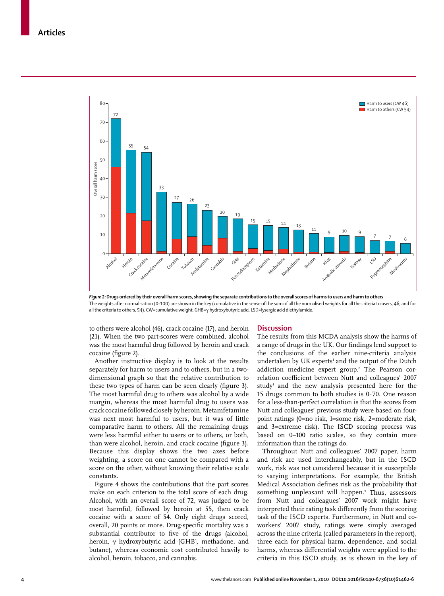

*Figure 2:* **Drugs ordered by their overall harm scores, showing the separate contributions to the overall scores of harms to users and harm to others** The weights after normalisation (0–100) are shown in the key (cumulative in the sense of the sum of all the normalised weights for all the criteria to users, 46; and for all the criteria to others, 54). CW=cumulative weight. GHB=γ hydroxybutyric acid. LSD=lysergic acid diethylamide.

to others were alcohol (46), crack cocaine (17), and heroin (21). When the two part-scores were combined, alcohol was the most harmful drug followed by heroin and crack cocaine (figure 2).

Another instructive display is to look at the results separately for harm to users and to others, but in a twodimensional graph so that the relative contribution to these two types of harm can be seen clearly (figure 3). The most harmful drug to others was alcohol by a wide margin, whereas the most harmful drug to users was crack cocaine followed closely by heroin. Metamfetamine was next most harmful to users, but it was of little comparative harm to others. All the remaining drugs were less harmful either to users or to others, or both, than were alcohol, heroin, and crack cocaine (figure 3). Because this display shows the two axes before weighting, a score on one cannot be compared with a score on the other, without knowing their relative scale constants.

Figure 4 shows the contributions that the part scores make on each criterion to the total score of each drug. Alcohol, with an overall score of 72, was judged to be most harmful, followed by heroin at 55, then crack cocaine with a score of 54. Only eight drugs scored, overall, 20 points or more. Drug-specific mortality was a substantial contributor to five of the drugs (alcohol, heroin, γ hydroxybutyric acid [GHB], methadone, and butane), whereas economic cost contributed heavily to alcohol, heroin, tobacco, and cannabis.

#### **Discussion**

The results from this MCDA analysis show the harms of a range of drugs in the UK. Our findings lend support to the conclusions of the earlier nine-criteria analysis undertaken by UK experts<sup>1</sup> and the output of the Dutch addiction medicine expert group.8 The Pearson correlation coefficient between Nutt and colleagues' 2007 study1 and the new analysis presented here for the 15 drugs common to both studies is 0·70. One reason for a less-than-perfect correlation is that the scores from Nutt and colleagues' previous study were based on fourpoint ratings (0=no risk, 1=some risk, 2=moderate risk, and 3=extreme risk). The ISCD scoring process was based on 0–100 ratio scales, so they contain more information than the ratings do.

Throughout Nutt and colleagues' 2007 paper, harm and risk are used interchangeably, but in the ISCD work, risk was not considered because it is susceptible to varying interpretations. For example, the British Medical Association defines risk as the probability that something unpleasant will happen.<sup>9</sup> Thus, assessors from Nutt and colleagues' 2007 work might have interpreted their rating task differently from the scoring task of the ISCD experts. Furthermore, in Nutt and coworkers' 2007 study, ratings were simply averaged across the nine criteria (called parameters in the report), three each for physical harm, dependence, and social harms, whereas differential weights were applied to the criteria in this ISCD study, as is shown in the key of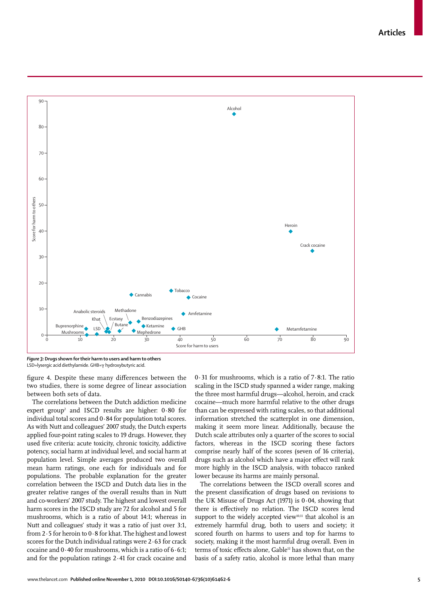

*Figure 3:* **Drugs shown for their harm to users and harm to others**  LSD=lysergic acid diethylamide. GHB=γ hydroxybutyric acid.

figure 4. Despite these many differences between the two studies, there is some degree of linear association between both sets of data.

The correlations between the Dutch addiction medicine expert group2 and ISCD results are higher: 0·80 for individual total scores and 0·84 for population total scores. As with Nutt and colleagues' 2007 study, the Dutch experts applied four-point rating scales to 19 drugs. However, they used five criteria: acute toxicity, chronic toxicity, addictive potency, social harm at individual level, and social harm at population level. Simple averages produced two overall mean harm ratings, one each for individuals and for populations. The probable explanation for the greater correlation between the ISCD and Dutch data lies in the greater relative ranges of the overall results than in Nutt and co-workers' 2007 study. The highest and lowest overall harm scores in the ISCD study are 72 for alcohol and 5 for mushrooms, which is a ratio of about 14:1; whereas in Nutt and colleagues' study it was a ratio of just over 3:1, from 2·5 for heroin to 0·8 for khat. The highest and lowest scores for the Dutch individual ratings were 2·63 for crack cocaine and  $0.40$  for mushrooms, which is a ratio of  $6.6:1$ ; and for the population ratings 2·41 for crack cocaine and

0·31 for mushrooms, which is a ratio of 7·8:1. The ratio scaling in the ISCD study spanned a wider range, making the three most harmful drugs—alcohol, heroin, and crack cocaine—much more harmful relative to the other drugs than can be expressed with rating scales, so that additional information stretched the scatterplot in one dimension, making it seem more linear. Additionally, because the Dutch scale attributes only a quarter of the scores to social factors, whereas in the ISCD scoring these factors comprise nearly half of the scores (seven of 16 criteria), drugs such as alcohol which have a major effect will rank more highly in the ISCD analysis, with tobacco ranked lower because its harms are mainly personal.

The correlations between the ISCD overall scores and the present classification of drugs based on revisions to the UK Misuse of Drugs Act  $(1971)$  is 0.04, showing that there is effectively no relation. The ISCD scores lend support to the widely accepted view $10,11$  that alcohol is an extremely harmful drug, both to users and society; it scored fourth on harms to users and top for harms to society, making it the most harmful drug overall. Even in terms of toxic effects alone, Gable<sup>12</sup> has shown that, on the basis of a safety ratio, alcohol is more lethal than many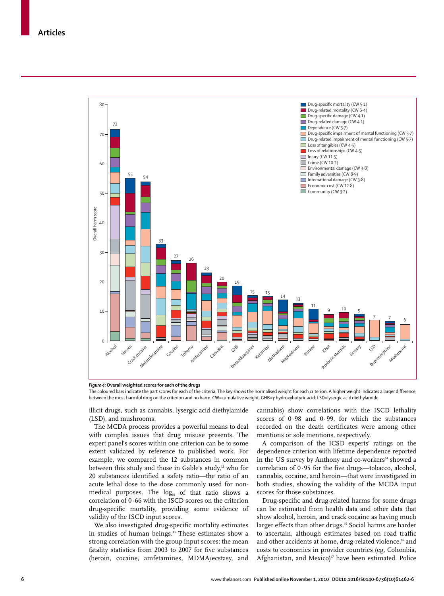

#### *Figure 4:* **Overall weighted scores for each of the drugs**

The coloured bars indicate the part scores for each of the criteria. The key shows the normalised weight for each criterion. A higher weight indicates a larger difference between the most harmful drug on the criterion and no harm. CW=cumulative weight. GHB=γ hydroxybutyric acid. LSD=lysergic acid diethylamide.

illicit drugs, such as cannabis, lysergic acid diethylamide (LSD), and mushrooms.

The MCDA process provides a powerful means to deal with complex issues that drug misuse presents. The expert panel's scores within one criterion can be to some extent validated by reference to published work. For example, we compared the 12 substances in common between this study and those in Gable's study,<sup>12</sup> who for 20 substances identified a safety ratio—the ratio of an acute lethal dose to the dose commonly used for nonmedical purposes. The  $log_{10}$  of that ratio shows a correlation of 0·66 with the ISCD scores on the criterion drug-specific mortality, providing some evidence of validity of the ISCD input scores.

We also investigated drug-specific mortality estimates in studies of human beings.<sup>13</sup> These estimates show a strong correlation with the group input scores: the mean fatality statistics from 2003 to 2007 for five substances (heroin, cocaine, amfetamines, MDMA/ecstasy, and cannabis) show correlations with the ISCD lethality scores of 0·98 and 0·99, for which the substances recorded on the death certificates were among other mentions or sole mentions, respectively.

A comparison of the ICSD experts' ratings on the dependence criterion with lifetime dependence reported in the US survey by Anthony and co-workers<sup>14</sup> showed a correlation of  $0.95$  for the five drugs—tobacco, alcohol, cannabis, cocaine, and heroin—that were investigated in both studies, showing the validity of the MCDA input scores for those substances.

Drug-specific and drug-related harms for some drugs can be estimated from health data and other data that show alcohol, heroin, and crack cocaine as having much larger effects than other drugs.<sup>15</sup> Social harms are harder to ascertain, although estimates based on road traffic and other accidents at home, drug-related violence,<sup>16</sup> and costs to economies in provider countries (eg, Colombia, Afghanistan, and Mexico)<sup>17</sup> have been estimated. Police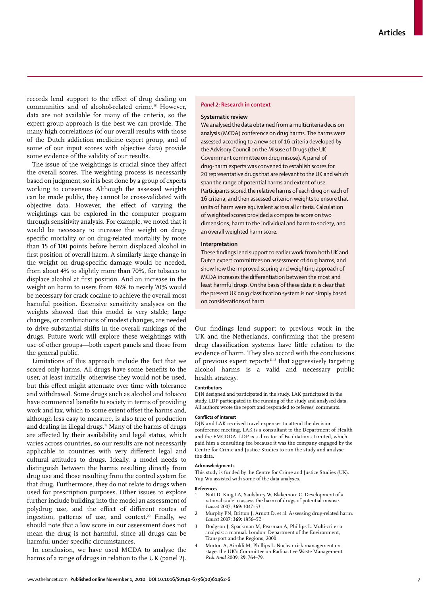records lend support to the effect of drug dealing on communities and of alcohol-related crime.<sup>18</sup> However, data are not available for many of the criteria, so the expert group approach is the best we can provide. The many high correlations (of our overall results with those of the Dutch addiction medicine expert group, and of some of our input scores with objective data) provide some evidence of the validity of our results.

The issue of the weightings is crucial since they affect the overall scores. The weighting process is necessarily based on judgment, so it is best done by a group of experts working to consensus. Although the assessed weights can be made public, they cannot be cross-validated with objective data. However, the effect of varying the weightings can be explored in the computer program through sensitivity analysis. For example, we noted that it would be necessary to increase the weight on drugspecific mortality or on drug-related mortality by more than 15 of 100 points before heroin displaced alcohol in first position of overall harm. A similarly large change in the weight on drug-specific damage would be needed, from about 4% to slightly more than 70%, for tobacco to displace alcohol at first position. And an increase in the weight on harm to users from 46% to nearly 70% would be necessary for crack cocaine to achieve the overall most harmful position. Extensive sensitivity analyses on the weights showed that this model is very stable; large changes, or combinations of modest changes, are needed to drive substantial shifts in the overall rankings of the drugs. Future work will explore these weightings with use of other groups—both expert panels and those from the general public.

Limitations of this approach include the fact that we scored only harms. All drugs have some benefits to the user, at least initially, otherwise they would not be used, but this effect might attenuate over time with tolerance and withdrawal. Some drugs such as alcohol and tobacco have commercial benefits to society in terms of providing work and tax, which to some extent offset the harms and, although less easy to measure, is also true of production and dealing in illegal drugs.<sup>19</sup> Many of the harms of drugs are affected by their availability and legal status, which varies across countries, so our results are not necessarily applicable to countries with very different legal and cultural attitudes to drugs. Ideally, a model needs to distinguish between the harms resulting directly from drug use and those resulting from the control system for that drug. Furthermore, they do not relate to drugs when used for prescription purposes. Other issues to explore further include building into the model an assessment of polydrug use, and the effect of different routes of ingestion, patterns of use, and context.<sup>20</sup> Finally, we should note that a low score in our assessment does not mean the drug is not harmful, since all drugs can be harmful under specific circumstances.

In conclusion, we have used MCDA to analyse the harms of a range of drugs in relation to the UK (panel 2).

# *Panel 2:* **Research in context**

# **Systematic review**

We analysed the data obtained from a multicriteria decision analysis (MCDA) conference on drug harms. The harms were assessed according to a new set of 16 criteria developed by the Advisory Council on the Misuse of Drugs (the UK Government committee on drug misuse). A panel of drug-harm experts was convened to establish scores for 20 representative drugs that are relevant to the UK and which span the range of potential harms and extent of use. Participants scored the relative harms of each drug on each of 16 criteria, and then assessed criterion weights to ensure that units of harm were equivalent across all criteria. Calculation of weighted scores provided a composite score on two dimensions, harm to the individual and harm to society, and an overall weighted harm score.

#### **Interpretation**

These findings lend support to earlier work from both UK and Dutch expert committees on assessment of drug harms, and show how the improved scoring and weighting approach of MCDA increases the differentiation between the most and least harmful drugs. On the basis of these data it is clear that the present UK drug classification system is not simply based on considerations of harm.

Our findings lend support to previous work in the UK and the Netherlands, confirming that the present drug classification systems have little relation to the evidence of harm. They also accord with the conclusions of previous expert reports $11,18$  that aggressively targeting alcohol harms is a valid and necessary public health strategy.

#### **Contributors**

DJN designed and participated in the study. LAK participated in the study. LDP participated in the running of the study and analysed data. All authors wrote the report and responded to referees' comments.

#### **Conflicts of interest**

DJN and LAK received travel expenses to attend the decision conference meeting. LAK is a consultant to the Department of Health and the EMCDDA. LDP is a director of Facilitations Limited, which paid him a consulting fee because it was the company engaged by the Centre for Crime and Justice Studies to run the study and analyse the data.

# **Acknowledgments**

This study is funded by the Centre for Crime and Justice Studies (UK). Yuji Wu assisted with some of the data analyses.

#### **References**

- Nutt D, King LA, Saulsbury W, Blakemore C. Development of a rational scale to assess the harm of drugs of potential misuse. *Lancet* 2007; **369:** 1047–53.
- 2 Murphy PN, Britton J, Arnott D, et al. Assessing drug-related harm. *Lancet* 2007; **369:** 1856–57.
- 3 Dodgson J, Spackman M, Pearman A, Phillips L. Multi-criteria analysis: a manual. London: Department of the Environment, Transport and the Regions, 2000.
- Morton A, Airoldi M, Phillips L. Nuclear risk management on stage: the UK's Committee on Radioactive Waste Management. *Risk Anal* 2009; **29:** 764–79.